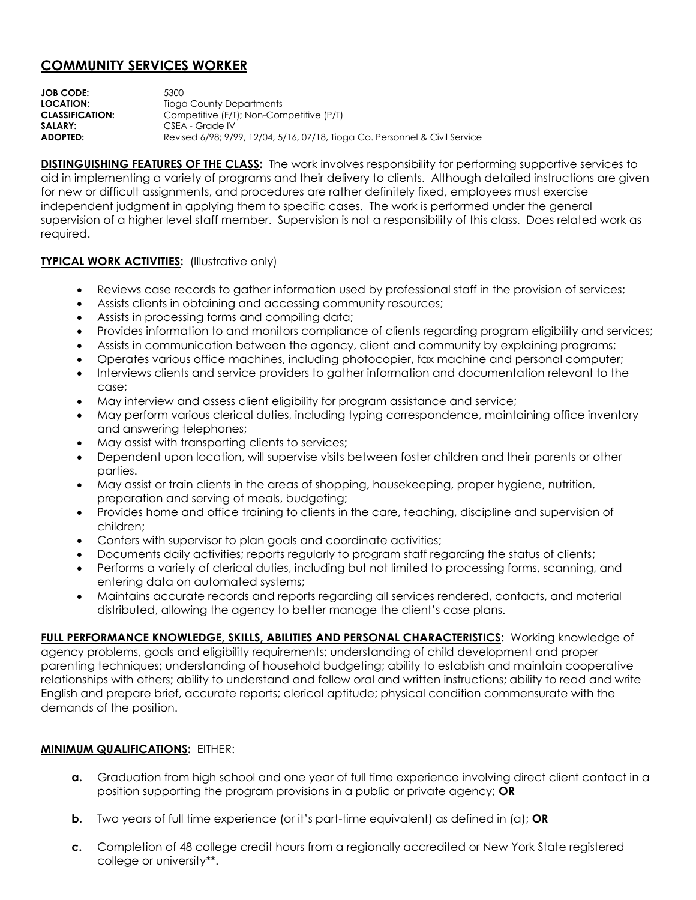## **COMMUNITY SERVICES WORKER**

**JOB CODE:** 5300 **LOCATION:** Tioga County Departments **CLASSIFICATION:** Competitive (F/T); Non-Competitive (P/T) SALARY: CSEA - Grade IV **ADOPTED:** Revised 6/98; 9/99, 12/04, 5/16, 07/18, Tioga Co. Personnel & Civil Service

**DISTINGUISHING FEATURES OF THE CLASS:** The work involves responsibility for performing supportive services to aid in implementing a variety of programs and their delivery to clients. Although detailed instructions are given for new or difficult assignments, and procedures are rather definitely fixed, employees must exercise independent judgment in applying them to specific cases. The work is performed under the general supervision of a higher level staff member. Supervision is not a responsibility of this class. Does related work as required.

## **TYPICAL WORK ACTIVITIES:** (Illustrative only)

- Reviews case records to gather information used by professional staff in the provision of services;
- Assists clients in obtaining and accessing community resources;
- Assists in processing forms and compiling data;
- Provides information to and monitors compliance of clients regarding program eligibility and services;
- Assists in communication between the agency, client and community by explaining programs;
- Operates various office machines, including photocopier, fax machine and personal computer;
- Interviews clients and service providers to gather information and documentation relevant to the case;
- May interview and assess client eligibility for program assistance and service;
- May perform various clerical duties, including typing correspondence, maintaining office inventory and answering telephones;
- May assist with transporting clients to services;
- Dependent upon location, will supervise visits between foster children and their parents or other parties.
- May assist or train clients in the areas of shopping, housekeeping, proper hygiene, nutrition, preparation and serving of meals, budgeting;
- Provides home and office training to clients in the care, teaching, discipline and supervision of children;
- Confers with supervisor to plan goals and coordinate activities;
- Documents daily activities; reports regularly to program staff regarding the status of clients;
- Performs a variety of clerical duties, including but not limited to processing forms, scanning, and entering data on automated systems;
- Maintains accurate records and reports regarding all services rendered, contacts, and material distributed, allowing the agency to better manage the client's case plans.

FULL PERFORMANCE KNOWLEDGE, SKILLS, ABILITIES AND PERSONAL CHARACTERISTICS: Working knowledge of agency problems, goals and eligibility requirements; understanding of child development and proper parenting techniques; understanding of household budgeting; ability to establish and maintain cooperative relationships with others; ability to understand and follow oral and written instructions; ability to read and write English and prepare brief, accurate reports; clerical aptitude; physical condition commensurate with the demands of the position.

## **MINIMUM QUALIFICATIONS:** EITHER:

- **a.** Graduation from high school and one year of full time experience involving direct client contact in a position supporting the program provisions in a public or private agency; **OR**
- **b.** Two years of full time experience (or it's part-time equivalent) as defined in (a); **OR**
- **c.** Completion of 48 college credit hours from a regionally accredited or New York State registered college or university\*\*.